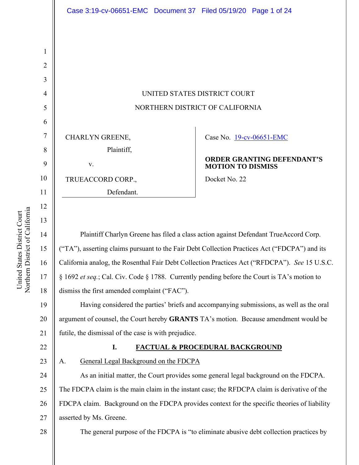UNITED STATES DISTRICT COURT NORTHERN DISTRICT OF CALIFORNIA

CHARLYN GREENE, Plaintiff, v.

TRUEACCORD CORP.,

Defendant.

Case No. 19-cv-06651-EMC

# **ORDER GRANTING DEFENDANT'S MOTION TO DISMISS**

Docket No. 22

Plaintiff Charlyn Greene has filed a class action against Defendant TrueAccord Corp. ("TA"), asserting claims pursuant to the Fair Debt Collection Practices Act ("FDCPA") and its California analog, the Rosenthal Fair Debt Collection Practices Act ("RFDCPA"). *See* 15 U.S.C. § 1692 *et seq.*; Cal. Civ. Code § 1788. Currently pending before the Court is TA's motion to dismiss the first amended complaint ("FAC").

20 21 Having considered the parties' briefs and accompanying submissions, as well as the oral argument of counsel, the Court hereby **GRANTS** TA's motion. Because amendment would be futile, the dismissal of the case is with prejudice.

22

23

# **I. FACTUAL & PROCEDURAL BACKGROUND**

A. General Legal Background on the FDCPA

24 25 26 27 As an initial matter, the Court provides some general legal background on the FDCPA. The FDCPA claim is the main claim in the instant case; the RFDCPA claim is derivative of the FDCPA claim. Background on the FDCPA provides context for the specific theories of liability asserted by Ms. Greene.

The general purpose of the FDCPA is "to eliminate abusive debt collection practices by

1

2

3

4

5

6

7

8

9

10

11

12

13

14

15

16

17

18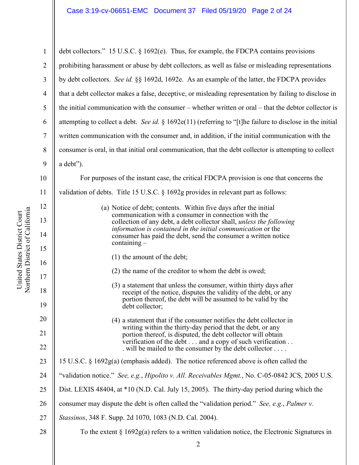1 2 3 4 5 6 7 8 9 10 11 12 13 14 15 16 17 18 19 20 21 22 23 24 25 26 27 debt collectors." 15 U.S.C. § 1692(e). Thus, for example, the FDCPA contains provisions prohibiting harassment or abuse by debt collectors, as well as false or misleading representations by debt collectors. *See id.* §§ 1692d, 1692e. As an example of the latter, the FDCPA provides that a debt collector makes a false, deceptive, or misleading representation by failing to disclose in the initial communication with the consumer – whether written or oral – that the debtor collector is attempting to collect a debt. *See id.* § 1692e(11) (referring to "[t]he failure to disclose in the initial written communication with the consumer and, in addition, if the initial communication with the consumer is oral, in that initial oral communication, that the debt collector is attempting to collect a debt"). For purposes of the instant case, the critical FDCPA provision is one that concerns the validation of debts. Title 15 U.S.C. § 1692g provides in relevant part as follows: (a) Notice of debt; contents. Within five days after the initial communication with a consumer in connection with the collection of any debt, a debt collector shall, *unless the following information is contained in the initial communication* or the consumer has paid the debt, send the consumer a written notice containing – (1) the amount of the debt; (2) the name of the creditor to whom the debt is owed; (3) a statement that unless the consumer, within thirty days after receipt of the notice, disputes the validity of the debt, or any portion thereof, the debt will be assumed to be valid by the debt collector; (4) a statement that if the consumer notifies the debt collector in writing within the thirty-day period that the debt, or any portion thereof, is disputed, the debt collector will obtain verification of the debt . . . and a copy of such verification . . . will be mailed to the consumer by the debt collector . . . . 15 U.S.C. § 1692g(a) (emphasis added). The notice referenced above is often called the "validation notice." *See, e.g.*, *Hipolito v. All. Receivables Mgmt.*, No. C-05-0842 JCS, 2005 U.S. Dist. LEXIS 48404, at \*10 (N.D. Cal. July 15, 2005). The thirty-day period during which the consumer may dispute the debt is often called the "validation period." *See, e.g.*, *Palmer v. Stassinos*, 348 F. Supp. 2d 1070, 1083 (N.D. Cal. 2004).

a United States District Court Northern District of Californi United States District Court

28

2

To the extent § 1692g(a) refers to a written validation notice, the Electronic Signatures in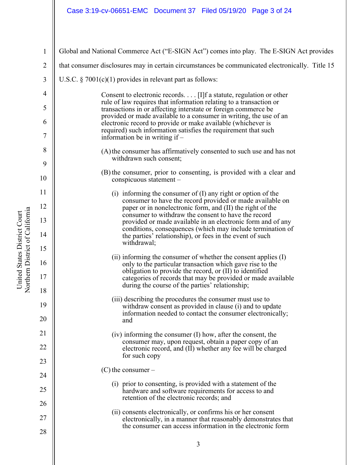# Case 3:19-cv-06651-EMC Document 37 Filed 05/19/20 Page 3 of 24

| $\mathbf{1}$     | Global and National Commerce Act ("E-SIGN Act") comes into play. The E-SIGN Act provides                                             |
|------------------|--------------------------------------------------------------------------------------------------------------------------------------|
| $\overline{2}$   | that consumer disclosures may in certain circumstances be communicated electronically. Title 15                                      |
| 3                | U.S.C. $\S$ 7001(c)(1) provides in relevant part as follows:                                                                         |
| $\overline{4}$   | Consent to electronic records [I]f a statute, regulation or other                                                                    |
| 5                | rule of law requires that information relating to a transaction or<br>transactions in or affecting interstate or foreign commerce be |
| 6                | provided or made available to a consumer in writing, the use of an<br>electronic record to provide or make available (whichever is   |
| $\boldsymbol{7}$ | required) such information satisfies the requirement that such<br>information be in writing if –                                     |
| 8                | (A) the consumer has affirmatively consented to such use and has not<br>withdrawn such consent;                                      |
| 9                | (B) the consumer, prior to consenting, is provided with a clear and                                                                  |
| 10               | conspicuous statement -                                                                                                              |
| 11               | (i) informing the consumer of $(I)$ any right or option of the<br>consumer to have the record provided or made available on          |
| 12               | paper or in nonelectronic form, and (II) the right of the<br>consumer to withdraw the consent to have the record                     |
| 13               | provided or made available in an electronic form and of any<br>conditions, consequences (which may include termination of            |
| 14               | the parties' relationship), or fees in the event of such<br>withdrawal;                                                              |
| 15               | (ii) informing the consumer of whether the consent applies (I)                                                                       |
| 16               | only to the particular transaction which gave rise to the<br>obligation to provide the record, or (II) to identified                 |
| 17               | categories of records that may be provided or made available<br>during the course of the parties' relationship;                      |
| 18               | (iii) describing the procedures the consumer must use to                                                                             |
| 19               | withdraw consent as provided in clause (i) and to update<br>information needed to contact the consumer electronically;               |
| 20               | and                                                                                                                                  |
| 21               | $(iv)$ informing the consumer $(I)$ how, after the consent, the<br>consumer may, upon request, obtain a paper copy of an             |
| 22               | electronic record, and (II) whether any fee will be charged<br>for such copy                                                         |
| 23               | $(C)$ the consumer –                                                                                                                 |
| 24               |                                                                                                                                      |
| 25               | (i) prior to consenting, is provided with a statement of the<br>hardware and software requirements for access to and                 |
| 26               | retention of the electronic records; and                                                                                             |
| 27               | (ii) consents electronically, or confirms his or her consent<br>electronically, in a manner that reasonably demonstrates that        |
| 28               | the consumer can access information in the electronic form                                                                           |
|                  |                                                                                                                                      |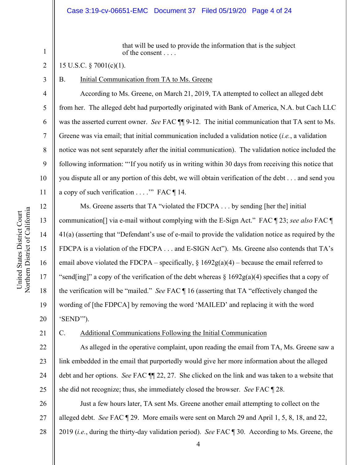#### Case 3:19-cv-06651-EMC Document 37 Filed 05/19/20 Page 4 of 24

that will be used to provide the information that is the subject of the consent . . . .

1 2

15 U.S.C. § 7001(c)(1).

3

4

5

6

7

8

9

10

11

12

13

14

15

16

17

18

19

20

B. Initial Communication from TA to Ms. Greene

According to Ms. Greene, on March 21, 2019, TA attempted to collect an alleged debt from her. The alleged debt had purportedly originated with Bank of America, N.A. but Cach LLC was the asserted current owner. *See* FAC ¶¶ 9-12. The initial communication that TA sent to Ms. Greene was via email; that initial communication included a validation notice (*i.e.*, a validation notice was not sent separately after the initial communication). The validation notice included the following information: "'If you notify us in writing within 30 days from receiving this notice that you dispute all or any portion of this debt, we will obtain verification of the debt . . . and send you a copy of such verification . . . .'" FAC ¶ 14.

Ms. Greene asserts that TA "violated the FDCPA . . . by sending [her the] initial communication[] via e-mail without complying with the E-Sign Act." FAC ¶ 23; *see also* FAC ¶ 41(a) (asserting that "Defendant's use of e-mail to provide the validation notice as required by the FDCPA is a violation of the FDCPA . . . and E-SIGN Act"). Ms. Greene also contends that TA's email above violated the FDCPA – specifically,  $\S 1692g(a)(4)$  – because the email referred to "send[ing]" a copy of the verification of the debt whereas  $\S 1692g(a)(4)$  specifies that a copy of the verification will be "mailed." *See* FAC ¶ 16 (asserting that TA "effectively changed the wording of [the FDPCA] by removing the word 'MAILED' and replacing it with the word 'SEND'").

21

# C. Additional Communications Following the Initial Communication

22 23 24 25 As alleged in the operative complaint, upon reading the email from TA, Ms. Greene saw a link embedded in the email that purportedly would give her more information about the alleged debt and her options. *See* FAC ¶¶ 22, 27. She clicked on the link and was taken to a website that she did not recognize; thus, she immediately closed the browser. *See* FAC ¶ 28.

26 27 28 Just a few hours later, TA sent Ms. Greene another email attempting to collect on the alleged debt. *See* FAC ¶ 29. More emails were sent on March 29 and April 1, 5, 8, 18, and 22, 2019 (*i.e.*, during the thirty-day validation period). *See* FAC ¶ 30. According to Ms. Greene, the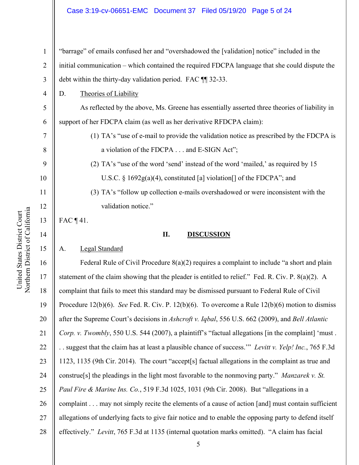## Case 3:19-cv-06651-EMC Document 37 Filed 05/19/20 Page 5 of 24

"barrage" of emails confused her and "overshadowed the [validation] notice" included in the initial communication – which contained the required FDCPA language that she could dispute the debt within the thirty-day validation period. FAC ¶¶ 32-33.

D. Theories of Liability

As reflected by the above, Ms. Greene has essentially asserted three theories of liability in support of her FDCPA claim (as well as her derivative RFDCPA claim):

- (1) TA's "use of e-mail to provide the validation notice as prescribed by the FDCPA is a violation of the FDCPA . . . and E-SIGN Act";
- (2) TA's "use of the word 'send' instead of the word 'mailed,' as required by 15 U.S.C.  $\S$  1692g(a)(4), constituted [a] violation [] of the FDCPA"; and
- (3) TA's "follow up collection e-mails overshadowed or were inconsistent with the validation notice."

FAC  $\P$  41.

1

2

3

4

5

6

7

8

9

10

11

12

13

14

15

#### **II. DISCUSSION**

A. Legal Standard

16 17 18 19 20 21 22 23 24 25 26 27 28 Federal Rule of Civil Procedure 8(a)(2) requires a complaint to include "a short and plain statement of the claim showing that the pleader is entitled to relief." Fed. R. Civ. P. 8(a)(2). A complaint that fails to meet this standard may be dismissed pursuant to Federal Rule of Civil Procedure 12(b)(6). *See* Fed. R. Civ. P. 12(b)(6). To overcome a Rule 12(b)(6) motion to dismiss after the Supreme Court's decisions in *Ashcroft v. Iqbal*, 556 U.S. 662 (2009), and *Bell Atlantic Corp. v. Twombly*, 550 U.S. 544 (2007), a plaintiff's "factual allegations [in the complaint] 'must . . . suggest that the claim has at least a plausible chance of success.'" *Levitt v. Yelp! Inc.*, 765 F.3d 1123, 1135 (9th Cir. 2014). The court "accept[s] factual allegations in the complaint as true and construe[s] the pleadings in the light most favorable to the nonmoving party." *Manzarek v. St. Paul Fire & Marine Ins. Co.*, 519 F.3d 1025, 1031 (9th Cir. 2008). But "allegations in a complaint . . . may not simply recite the elements of a cause of action [and] must contain sufficient allegations of underlying facts to give fair notice and to enable the opposing party to defend itself effectively." *Levitt*, 765 F.3d at 1135 (internal quotation marks omitted). "A claim has facial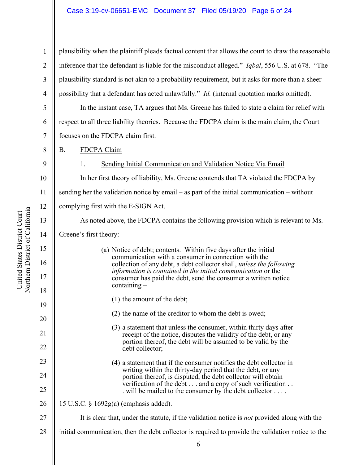## Case 3:19-cv-06651-EMC Document 37 Filed 05/19/20 Page 6 of 24

plausibility when the plaintiff pleads factual content that allows the court to draw the reasonable inference that the defendant is liable for the misconduct alleged." *Iqbal*, 556 U.S. at 678. "The plausibility standard is not akin to a probability requirement, but it asks for more than a sheer possibility that a defendant has acted unlawfully." *Id.* (internal quotation marks omitted).

In the instant case, TA argues that Ms. Greene has failed to state a claim for relief with respect to all three liability theories. Because the FDCPA claim is the main claim, the Court focuses on the FDCPA claim first.

B. FDCPA Claim

1

2

3

4

5

6

7

8

9

10

11

12

13

14

15

16

17

18

19

20

21

22

23

24

25

1. Sending Initial Communication and Validation Notice Via Email

In her first theory of liability, Ms. Greene contends that TA violated the FDCPA by sending her the validation notice by email – as part of the initial communication – without

complying first with the E-SIGN Act.

As noted above, the FDCPA contains the following provision which is relevant to Ms.

Greene's first theory:

- (a) Notice of debt; contents. Within five days after the initial communication with a consumer in connection with the collection of any debt, a debt collector shall, *unless the following information is contained in the initial communication* or the consumer has paid the debt, send the consumer a written notice containing –
	- (1) the amount of the debt;
	- (2) the name of the creditor to whom the debt is owed;
	- (3) a statement that unless the consumer, within thirty days after receipt of the notice, disputes the validity of the debt, or any portion thereof, the debt will be assumed to be valid by the debt collector;
	- (4) a statement that if the consumer notifies the debt collector in writing within the thirty-day period that the debt, or any portion thereof, is disputed, the debt collector will obtain verification of the debt . . . and a copy of such verification . . . will be mailed to the consumer by the debt collector . . . .

26 15 U.S.C. § 1692g(a) (emphasis added).

- 27 It is clear that, under the statute, if the validation notice is *not* provided along with the
- 28 initial communication, then the debt collector is required to provide the validation notice to the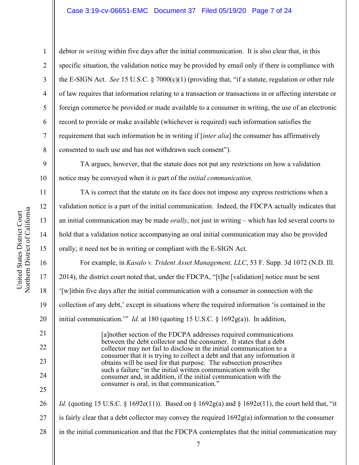#### Case 3:19-cv-06651-EMC Document 37 Filed 05/19/20 Page 7 of 24

debtor *in writing* within five days after the initial communication. It is also clear that, in this specific situation, the validation notice may be provided by email only if there is compliance with the E-SIGN Act. *See* 15 U.S.C. § 7000(c)(1) (providing that, "if a statute, regulation or other rule of law requires that information relating to a transaction or transactions in or affecting interstate or foreign commerce be provided or made available to a consumer in writing, the use of an electronic record to provide or make available (whichever is required) such information satisfies the requirement that such information be in writing if [*inter alia*] the consumer has affirmatively consented to such use and has not withdrawn such consent").

TA argues, however, that the statute does not put any restrictions on how a validation notice may be conveyed when it *is* part of the *initial communication*.

TA is correct that the statute on its face does not impose any express restrictions when a validation notice is a part of the initial communication. Indeed, the FDCPA actually indicates that an initial communication may be made *orally*, not just in writing – which has led several courts to hold that a validation notice accompanying an oral initial communication may also be provided orally; it need not be in writing or compliant with the E-SIGN Act.

16 17 18 19 20 21 22 23 For example, in *Kasalo v. Trident Asset Management, LLC*, 53 F. Supp. 3d 1072 (N.D. Ill. 2014), the district court noted that, under the FDCPA, "[t]he [validation] notice must be sent '[w]ithin five days after the initial communication with a consumer in connection with the collection of any debt,' except in situations where the required information 'is contained in the initial communication.'" *Id.* at 180 (quoting 15 U.S.C. § 1692g(a)). In addition, [a]nother section of the FDCPA addresses required communications between the debt collector and the consumer. It states that a debt collector may not fail to disclose in the initial communication to a consumer that it is trying to collect a debt and that any information it obtains will be used for that purpose. The subsection proscribes such a failure "in the initial written communication with the

26 27 28 *Id.* (quoting 15 U.S.C. § 1692e(11)). Based on § 1692g(a) and § 1692e(11), the court held that, "it is fairly clear that a debt collector may convey the required 1692g(a) information to the consumer in the initial communication and that the FDCPA contemplates that the initial communication may

consumer and, in addition, if the initial communication with the

consumer is oral, in that communication."

1

2

3

4

5

6

7

8

9

10

11

12

13

14

15

24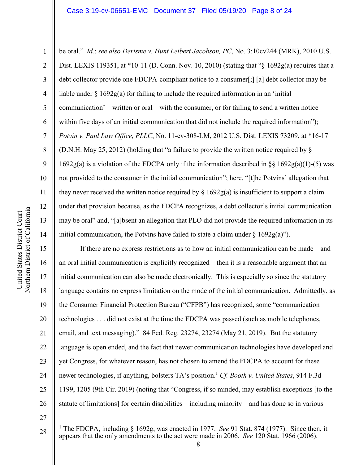be oral." *Id.*; *see also Derisme v. Hunt Leibert Jacobson, PC*, No. 3:10cv244 (MRK), 2010 U.S. Dist. LEXIS 119351, at \*10-11 (D. Conn. Nov. 10, 2010) (stating that "§ 1692g(a) requires that a debt collector provide one FDCPA-compliant notice to a consumer[;] [a] debt collector may be liable under  $\S 1692g(a)$  for failing to include the required information in an 'initial communication' – written or oral – with the consumer, or for failing to send a written notice within five days of an initial communication that did not include the required information"); *Potvin v. Paul Law Office, PLLC*, No. 11-cv-308-LM, 2012 U.S. Dist. LEXIS 73209, at \*16-17 (D.N.H. May 25, 2012) (holding that "a failure to provide the written notice required by §  $1692g(a)$  is a violation of the FDCPA only if the information described in §§  $1692g(a)(1)$ -(5) was not provided to the consumer in the initial communication"; here, "[t]he Potvins' allegation that they never received the written notice required by  $\S$  1692g(a) is insufficient to support a claim under that provision because, as the FDCPA recognizes, a debt collector's initial communication may be oral" and, "[a]bsent an allegation that PLO did not provide the required information in its initial communication, the Potvins have failed to state a claim under  $\S 1692g(a)$ ").

If there are no express restrictions as to how an initial communication can be made – and an oral initial communication is explicitly recognized – then it is a reasonable argument that an initial communication can also be made electronically. This is especially so since the statutory language contains no express limitation on the mode of the initial communication. Admittedly, as the Consumer Financial Protection Bureau ("CFPB") has recognized, some "communication technologies . . . did not exist at the time the FDCPA was passed (such as mobile telephones, email, and text messaging)." 84 Fed. Reg. 23274, 23274 (May 21, 2019). But the statutory language is open ended, and the fact that newer communication technologies have developed and yet Congress, for whatever reason, has not chosen to amend the FDCPA to account for these newer technologies, if anything, bolsters TA's position.<sup>1</sup> Cf. Booth v. United States, 914 F.3d 1199, 1205 (9th Cir. 2019) (noting that "Congress, if so minded, may establish exceptions [to the statute of limitations] for certain disabilities – including minority – and has done so in various

27

26

1

2

3

4

5

6

7

8

9

10

11

12

13

14

15

16

17

18

19

20

21

22

23

24

<sup>28</sup>  <sup>1</sup> The FDCPA, including § 1692g, was enacted in 1977. *See* 91 Stat. 874 (1977). Since then, it appears that the only amendments to the act were made in 2006. *See* 120 Stat. 1966 (2006).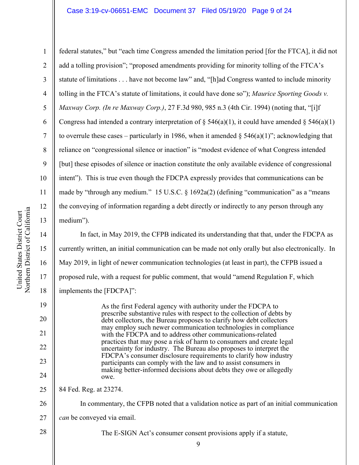#### Case 3:19-cv-06651-EMC Document 37 Filed 05/19/20 Page 9 of 24

federal statutes," but "each time Congress amended the limitation period [for the FTCA], it did not add a tolling provision"; "proposed amendments providing for minority tolling of the FTCA's statute of limitations . . . have not become law" and, "[h]ad Congress wanted to include minority tolling in the FTCA's statute of limitations, it could have done so"); *Maurice Sporting Goods v. Maxway Corp. (In re Maxway Corp.)*, 27 F.3d 980, 985 n.3 (4th Cir. 1994) (noting that, "[i]f Congress had intended a contrary interpretation of  $\S 546(a)(1)$ , it could have amended  $\S 546(a)(1)$ to overrule these cases – particularly in 1986, when it amended  $\S$  546(a)(1)"; acknowledging that reliance on "congressional silence or inaction" is "modest evidence of what Congress intended [but] these episodes of silence or inaction constitute the only available evidence of congressional intent"). This is true even though the FDCPA expressly provides that communications can be made by "through any medium." 15 U.S.C. § 1692a(2) (defining "communication" as a "means the conveying of information regarding a debt directly or indirectly to any person through any medium").

In fact, in May 2019, the CFPB indicated its understanding that that, under the FDCPA as currently written, an initial communication can be made not only orally but also electronically. In May 2019, in light of newer communication technologies (at least in part), the CFPB issued a proposed rule, with a request for public comment, that would "amend Regulation F, which implements the [FDCPA]":

As the first Federal agency with authority under the FDCPA to prescribe substantive rules with respect to the collection of debts by debt collectors, the Bureau proposes to clarify how debt collectors may employ such newer communication technologies in compliance with the FDCPA and to address other communications-related practices that may pose a risk of harm to consumers and create legal uncertainty for industry. The Bureau also proposes to interpret the FDCPA's consumer disclosure requirements to clarify how industry participants can comply with the law and to assist consumers in making better-informed decisions about debts they owe or allegedly owe.

25 84 Fed. Reg. at 23274.

26 27 In commentary, the CFPB noted that a validation notice as part of an initial communication *can* be conveyed via email.

The E-SIGN Act's consumer consent provisions apply if a statute,

1

2

3

4

5

6

7

8

9

10

11

12

13

14

15

16

17

18

19

20

21

22

23

24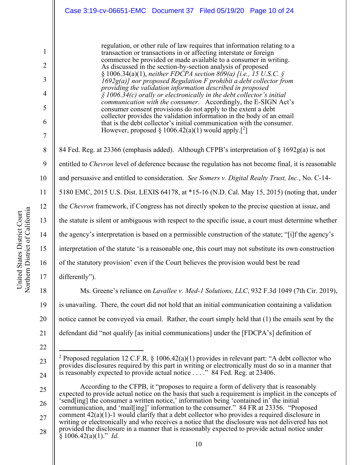| Case 3:19-cv-06651-EMC  Document 37  Filed 05/19/20  Page 10 of 24                                                                                                                                                                                                                                                                                                                                                                                                                                                                                                                                                                                                                                                                                                                                                                                                                                                                      |
|-----------------------------------------------------------------------------------------------------------------------------------------------------------------------------------------------------------------------------------------------------------------------------------------------------------------------------------------------------------------------------------------------------------------------------------------------------------------------------------------------------------------------------------------------------------------------------------------------------------------------------------------------------------------------------------------------------------------------------------------------------------------------------------------------------------------------------------------------------------------------------------------------------------------------------------------|
| regulation, or other rule of law requires that information relating to a<br>transaction or transactions in or affecting interstate or foreign<br>commerce be provided or made available to a consumer in writing.<br>As discussed in the section-by-section analysis of proposed<br>$\S 1006.34(a)(1)$ , neither FDCPA section 809(a) [i.e., 15 U.S.C. $\S$<br>$1692g(a)$ ] nor proposed Regulation F prohibit a debt collector from<br>providing the validation information described in proposed<br>$\S$ 1006.34(c) orally or electronically in the debt collector's initial<br>communication with the consumer. Accordingly, the E-SIGN Act's<br>consumer consent provisions do not apply to the extent a debt<br>collector provides the validation information in the body of an email<br>that is the debt collector's initial communication with the consumer.<br>However, proposed $\S 1006.42(a)(1)$ would apply. <sup>[2]</sup> |
| 84 Fed. Reg. at 23366 (emphasis added). Although CFPB's interpretation of $\S$ 1692g(a) is not                                                                                                                                                                                                                                                                                                                                                                                                                                                                                                                                                                                                                                                                                                                                                                                                                                          |
| entitled to <i>Chevron</i> level of deference because the regulation has not become final, it is reasonable                                                                                                                                                                                                                                                                                                                                                                                                                                                                                                                                                                                                                                                                                                                                                                                                                             |
| and persuasive and entitled to consideration. See Somers v. Digital Realty Trust, Inc., No. C-14-                                                                                                                                                                                                                                                                                                                                                                                                                                                                                                                                                                                                                                                                                                                                                                                                                                       |
| 5180 EMC, 2015 U.S. Dist. LEXIS 64178, at *15-16 (N.D. Cal. May 15, 2015) (noting that, under                                                                                                                                                                                                                                                                                                                                                                                                                                                                                                                                                                                                                                                                                                                                                                                                                                           |
| the <i>Chevron</i> framework, if Congress has not directly spoken to the precise question at issue, and                                                                                                                                                                                                                                                                                                                                                                                                                                                                                                                                                                                                                                                                                                                                                                                                                                 |
| the statute is silent or ambiguous with respect to the specific issue, a court must determine whether                                                                                                                                                                                                                                                                                                                                                                                                                                                                                                                                                                                                                                                                                                                                                                                                                                   |
| the agency's interpretation is based on a permissible construction of the statute; "[i]f the agency's                                                                                                                                                                                                                                                                                                                                                                                                                                                                                                                                                                                                                                                                                                                                                                                                                                   |
| interpretation of the statute 'is a reasonable one, this court may not substitute its own construction                                                                                                                                                                                                                                                                                                                                                                                                                                                                                                                                                                                                                                                                                                                                                                                                                                  |
| of the statutory provision' even if the Court believes the provision would best be read                                                                                                                                                                                                                                                                                                                                                                                                                                                                                                                                                                                                                                                                                                                                                                                                                                                 |
| differently").                                                                                                                                                                                                                                                                                                                                                                                                                                                                                                                                                                                                                                                                                                                                                                                                                                                                                                                          |
| Ms. Greene's reliance on <i>Lavallee v. Med-1 Solutions, LLC</i> , 932 F.3d 1049 (7th Cir. 2019),                                                                                                                                                                                                                                                                                                                                                                                                                                                                                                                                                                                                                                                                                                                                                                                                                                       |
| is unavailing. There, the court did not hold that an initial communication containing a validation                                                                                                                                                                                                                                                                                                                                                                                                                                                                                                                                                                                                                                                                                                                                                                                                                                      |
| notice cannot be conveyed via email. Rather, the court simply held that (1) the emails sent by the                                                                                                                                                                                                                                                                                                                                                                                                                                                                                                                                                                                                                                                                                                                                                                                                                                      |
| defendant did "not qualify [as initial communications] under the [FDCPA's] definition of                                                                                                                                                                                                                                                                                                                                                                                                                                                                                                                                                                                                                                                                                                                                                                                                                                                |
|                                                                                                                                                                                                                                                                                                                                                                                                                                                                                                                                                                                                                                                                                                                                                                                                                                                                                                                                         |
| <sup>2</sup> Proposed regulation 12 C.F.R. § 1006.42(a)(1) provides in relevant part: "A debt collector who<br>provides disclosures required by this part in writing or electronically must do so in a manner that is reasonably expected to provide actual notice " 84 Fed. Reg. at 23406.                                                                                                                                                                                                                                                                                                                                                                                                                                                                                                                                                                                                                                             |
| According to the CFPB, it "proposes to require a form of delivery that is reasonably<br>expected to provide actual notice on the basis that such a requirement is implicit in the concepts of<br>'send[ing] the consumer a written notice,' information being 'contained in' the initial<br>communication, and 'mail[ing]' information to the consumer." 84 FR at 23356. "Proposed<br>comment $42(a)(1)$ -1 would clarify that a debt collector who provides a required disclosure in<br>writing or electronically and who receives a notice that the disclosure was not delivered has not<br>provided the disclosure in a manner that is reasonably expected to provide actual notice under<br>$\S$ 1006.42(a)(1)." Id.                                                                                                                                                                                                                |
|                                                                                                                                                                                                                                                                                                                                                                                                                                                                                                                                                                                                                                                                                                                                                                                                                                                                                                                                         |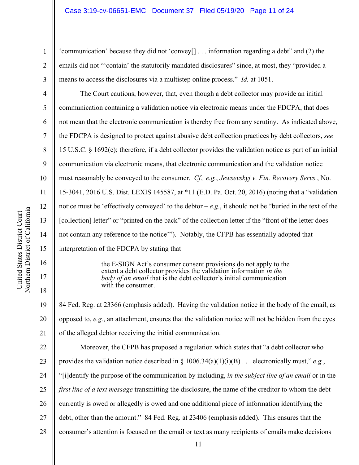'communication' because they did not 'convey[] . . . information regarding a debt" and (2) the emails did not "'contain' the statutorily mandated disclosures" since, at most, they "provided a means to access the disclosures via a multistep online process." *Id.* at 1051.

The Court cautions, however, that, even though a debt collector may provide an initial communication containing a validation notice via electronic means under the FDCPA, that does not mean that the electronic communication is thereby free from any scrutiny. As indicated above, the FDCPA is designed to protect against abusive debt collection practices by debt collectors, *see*  15 U.S.C. § 1692(e); therefore, if a debt collector provides the validation notice as part of an initial communication via electronic means, that electronic communication and the validation notice must reasonably be conveyed to the consumer. *Cf., e.g.*, *Jewsevskyj v. Fin. Recovery Servs.*, No. 15-3041, 2016 U.S. Dist. LEXIS 145587, at \*11 (E.D. Pa. Oct. 20, 2016) (noting that a "validation notice must be 'effectively conveyed' to the debtor  $-e.g.,$  it should not be "buried in the text of the [collection] letter" or "printed on the back" of the collection letter if the "front of the letter does not contain any reference to the notice'"). Notably, the CFPB has essentially adopted that interpretation of the FDCPA by stating that

> the E-SIGN Act's consumer consent provisions do not apply to the extent a debt collector provides the validation information *in the body of an email* that is the debt collector's initial communication with the consumer.

19 20 21 84 Fed. Reg. at 23366 (emphasis added). Having the validation notice in the body of the email, as opposed to, *e.g.*, an attachment, ensures that the validation notice will not be hidden from the eyes of the alleged debtor receiving the initial communication.

22 23 24 25 26 27 28 Moreover, the CFPB has proposed a regulation which states that "a debt collector who provides the validation notice described in § 1006.34(a)(1)(i)(B) . . . electronically must," *e.g.*, "[i]dentify the purpose of the communication by including, *in the subject line of an email* or in the *first line of a text message* transmitting the disclosure, the name of the creditor to whom the debt currently is owed or allegedly is owed and one additional piece of information identifying the debt, other than the amount." 84 Fed. Reg. at 23406 (emphasis added). This ensures that the consumer's attention is focused on the email or text as many recipients of emails make decisions

1

2

3

4

5

6

7

8

9

10

11

12

13

14

15

16

17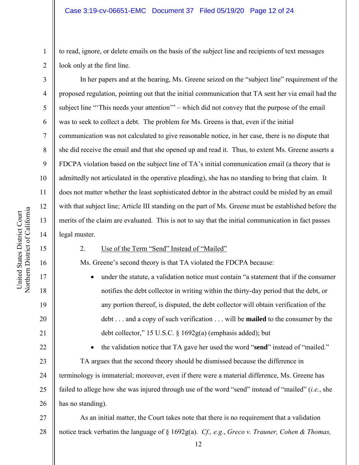to read, ignore, or delete emails on the basis of the subject line and recipients of text messages look only at the first line.

In her papers and at the hearing, Ms. Greene seized on the "subject line" requirement of the proposed regulation, pointing out that the initial communication that TA sent her via email had the subject line "'This needs your attention'" – which did not convey that the purpose of the email was to seek to collect a debt. The problem for Ms. Greens is that, even if the initial communication was not calculated to give reasonable notice, in her case, there is no dispute that she did receive the email and that she opened up and read it. Thus, to extent Ms. Greene asserts a FDCPA violation based on the subject line of TA's initial communication email (a theory that is admittedly not articulated in the operative pleading), she has no standing to bring that claim. It does not matter whether the least sophisticated debtor in the abstract could be misled by an email with that subject line; Article III standing on the part of Ms. Greene must be established before the merits of the claim are evaluated. This is not to say that the initial communication in fact passes legal muster.

2. Use of the Term "Send" Instead of "Mailed"

Ms. Greene's second theory is that TA violated the FDCPA because:

 under the statute, a validation notice must contain "a statement that if the consumer notifies the debt collector in writing within the thirty-day period that the debt, or any portion thereof, is disputed, the debt collector will obtain verification of the debt . . . and a copy of such verification . . . will be **mailed** to the consumer by the debt collector," 15 U.S.C. § 1692g(a) (emphasis added); but

the validation notice that TA gave her used the word "**send**" instead of "mailed."

TA argues that the second theory should be dismissed because the difference in terminology is immaterial; moreover, even if there were a material difference, Ms. Greene has failed to allege how she was injured through use of the word "send" instead of "mailed" (*i.e.*, she has no standing).

27 28 As an initial matter, the Court takes note that there is no requirement that a validation notice track verbatim the language of § 1692g(a). *Cf., e.g.*, *Greco v. Trauner, Cohen & Thomas,* 

1

2

3

4

5

6

7

8

9

10

11

12

13

14

15

16

17

18

19

20

21

22

23

24

25

26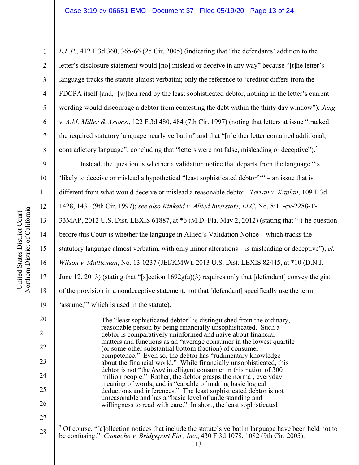*L.L.P.*, 412 F.3d 360, 365-66 (2d Cir. 2005) (indicating that "the defendants' addition to the letter's disclosure statement would [no] mislead or deceive in any way" because "[t]he letter's language tracks the statute almost verbatim; only the reference to 'creditor differs from the FDCPA itself [and,] [w]hen read by the least sophisticated debtor, nothing in the letter's current wording would discourage a debtor from contesting the debt within the thirty day window"); *Jang v. A.M. Miller & Assocs.*, 122 F.3d 480, 484 (7th Cir. 1997) (noting that letters at issue "tracked the required statutory language nearly verbatim" and that "[n]either letter contained additional, contradictory language"; concluding that "letters were not false, misleading or deceptive").<sup>3</sup>

Instead, the question is whether a validation notice that departs from the language "is 'likely to deceive or mislead a hypothetical "least sophisticated debtor"'" – an issue that is different from what would deceive or mislead a reasonable debtor. *Terran v. Kaplan*, 109 F.3d 1428, 1431 (9th Cir. 1997); *see also Kinkaid v. Allied Interstate, LLC*, No. 8:11-cv-2288-T-33MAP, 2012 U.S. Dist. LEXIS 61887, at \*6 (M.D. Fla. May 2, 2012) (stating that "[t]he question before this Court is whether the language in Allied's Validation Notice – which tracks the statutory language almost verbatim, with only minor alterations – is misleading or deceptive"); *cf. Wilson v. Mattleman*, No. 13-0237 (JEI/KMW), 2013 U.S. Dist. LEXIS 82445, at \*10 (D.N.J. June 12, 2013) (stating that "[s]ection 1692g(a)(3) requires only that [defendant] convey the gist of the provision in a nondeceptive statement, not that [defendant] specifically use the term 'assume,'" which is used in the statute).

The "least sophisticated debtor" is distinguished from the ordinary, reasonable person by being financially unsophisticated. Such a debtor is comparatively uninformed and naive about financial matters and functions as an "average consumer in the lowest quartile (or some other substantial bottom fraction) of consumer competence." Even so, the debtor has "rudimentary knowledge about the financial world." While financially unsophisticated, this debtor is not "the *least* intelligent consumer in this nation of 300 million people." Rather, the debtor grasps the normal, everyday meaning of words, and is "capable of making basic logical deductions and inferences." The least sophisticated debtor is not unreasonable and has a "basic level of understanding and willingness to read with care." In short, the least sophisticated

28 <sup>3</sup> Of course, "[c]ollection notices that include the statute's verbatim language have been held not to be confusing." *Camacho v. Bridgeport Fin., Inc.*, 430 F.3d 1078, 1082 (9th Cir. 2005).

1

2

3

4

5

6

7

8

9

10

11

12

13

14

15

16

17

18

19

20

21

22

23

24

25

26

27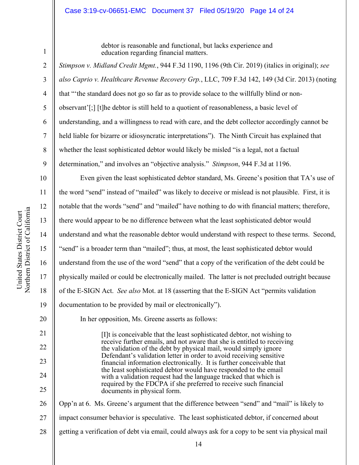## Case 3:19-cv-06651-EMC Document 37 Filed 05/19/20 Page 14 of 24

debtor is reasonable and functional, but lacks experience and education regarding financial matters.

*Stimpson v. Midland Credit Mgmt.*, 944 F.3d 1190, 1196 (9th Cir. 2019) (italics in original); *see also Caprio v. Healthcare Revenue Recovery Grp.*, LLC, 709 F.3d 142, 149 (3d Cir. 2013) (noting that "'the standard does not go so far as to provide solace to the willfully blind or nonobservant'[;] [t]he debtor is still held to a quotient of reasonableness, a basic level of understanding, and a willingness to read with care, and the debt collector accordingly cannot be held liable for bizarre or idiosyncratic interpretations"). The Ninth Circuit has explained that whether the least sophisticated debtor would likely be misled "is a legal, not a factual determination," and involves an "objective analysis." *Stimpson*, 944 F.3d at 1196.

Even given the least sophisticated debtor standard, Ms. Greene's position that TA's use of the word "send" instead of "mailed" was likely to deceive or mislead is not plausible. First, it is notable that the words "send" and "mailed" have nothing to do with financial matters; therefore, there would appear to be no difference between what the least sophisticated debtor would understand and what the reasonable debtor would understand with respect to these terms. Second, "send" is a broader term than "mailed"; thus, at most, the least sophisticated debtor would understand from the use of the word "send" that a copy of the verification of the debt could be physically mailed or could be electronically mailed. The latter is not precluded outright because of the E-SIGN Act. *See also* Mot. at 18 (asserting that the E-SIGN Act "permits validation documentation to be provided by mail or electronically"). In her opposition, Ms. Greene asserts as follows: [I]t is conceivable that the least sophisticated debtor, not wishing to receive further emails, and not aware that she is entitled to receiving the validation of the debt by physical mail, would simply ignore Defendant's validation letter in order to avoid receiving sensitive financial information electronically. It is further conceivable that

the least sophisticated debtor would have responded to the email with a validation request had the language tracked that which is required by the FDCPA if she preferred to receive such financial documents in physical form.

26 27 28 Opp'n at 6. Ms. Greene's argument that the difference between "send" and "mail" is likely to impact consumer behavior is speculative. The least sophisticated debtor, if concerned about getting a verification of debt via email, could always ask for a copy to be sent via physical mail

1

2

3

4

5

6

7

8

9

10

11

12

13

14

15

16

17

18

19

20

21

22

23

24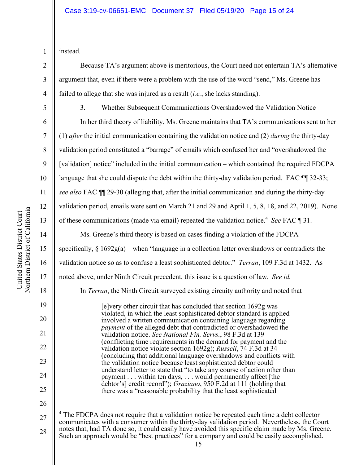| <b>NAMA</b><br>E<br>ξ<br>district | Californi<br>1 District of Calii |
|-----------------------------------|----------------------------------|
| Inited States I                   | rthern                           |

instead.

1

2

3

4

5

6

7

8

9

10

11

12

13

14

15

16

17

18

19

20

21

22

23

24

25

Because TA's argument above is meritorious, the Court need not entertain TA's alternative argument that, even if there were a problem with the use of the word "send," Ms. Greene has failed to allege that she was injured as a result (*i.e.*, she lacks standing).

3. Whether Subsequent Communications Overshadowed the Validation Notice

In her third theory of liability, Ms. Greene maintains that TA's communications sent to her (1) *after* the initial communication containing the validation notice and (2) *during* the thirty-day validation period constituted a "barrage" of emails which confused her and "overshadowed the [validation] notice" included in the initial communication – which contained the required FDCPA language that she could dispute the debt within the thirty-day validation period. FAC  $\P$  32-33; *see also* FAC ¶¶ 29-30 (alleging that, after the initial communication and during the thirty-day validation period, emails were sent on March 21 and 29 and April 1, 5, 8, 18, and 22, 2019). None of these communications (made via email) repeated the validation notice.<sup>4</sup> See FAC 131.

Ms. Greene's third theory is based on cases finding a violation of the FDCPA – specifically,  $\S 1692g(a)$  – when "language in a collection letter overshadows or contradicts the validation notice so as to confuse a least sophisticated debtor." *Terran*, 109 F.3d at 1432. As noted above, under Ninth Circuit precedent, this issue is a question of law. *See id.* In *Terran*, the Ninth Circuit surveyed existing circuity authority and noted that

> [e]very other circuit that has concluded that section 1692g was violated, in which the least sophisticated debtor standard is applied involved a written communication containing language regarding *payment* of the alleged debt that contradicted or overshadowed the validation notice. *See National Fin. Servs.*, 98 F.3d at 139 (conflicting time requirements in the demand for payment and the validation notice violate section 1692g); *Russell*, 74 F.3d at 34 (concluding that additional language overshadows and conflicts with the validation notice because least sophisticated debtor could understand letter to state that "to take any course of action other than payment . . . within ten days, . . . would permanently affect [the debtor's] credit record"); *Graziano*, 950 F.2d at 111 (holding that there was a "reasonable probability that the least sophisticated

<sup>27</sup>  28 <sup>4</sup> The FDCPA does not require that a validation notice be repeated each time a debt collector communicates with a consumer within the thirty-day validation period. Nevertheless, the Court notes that, had TA done so, it could easily have avoided this specific claim made by Ms. Greene. Such an approach would be "best practices" for a company and could be easily accomplished.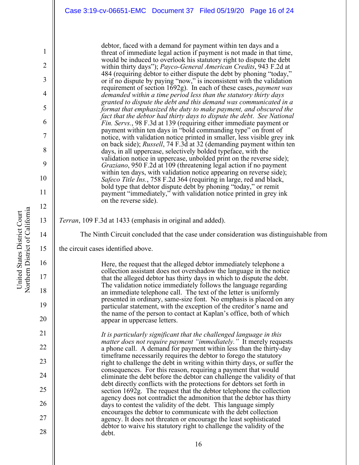|                | Case 3:19-cv-06651-EMC  Document 37  Filed 05/19/20  Page 16 of 24                                                                                            |
|----------------|---------------------------------------------------------------------------------------------------------------------------------------------------------------|
|                |                                                                                                                                                               |
| 1              | debtor, faced with a demand for payment within ten days and a<br>threat of immediate legal action if payment is not made in that time,                        |
| $\overline{2}$ | would be induced to overlook his statutory right to dispute the debt<br>within thirty days"); Payco-General American Credits, 943 F.2d at                     |
| 3              | 484 (requiring debtor to either dispute the debt by phoning "today,"                                                                                          |
|                | or if no dispute by paying "now," is inconsistent with the validation<br>requirement of section 1692g). In each of these cases, <i>payment was</i>            |
| 4              | demanded within a time period less than the statutory thirty days<br>granted to dispute the debt and this demand was communicated in a                        |
| 5              | format that emphasized the duty to make payment, and obscured the<br>fact that the debtor had thirty days to dispute the debt. See National                   |
| 6              | Fin. Servs., 98 F.3d at 139 (requiring either immediate payment or<br>payment within ten days in "bold commanding type" on front of                           |
| 7              | notice, with validation notice printed in smaller, less visible grey ink<br>on back side); Russell, 74 F.3d at 32 (demanding payment within ten               |
| 8              | days, in all uppercase, selectively bolded typeface, with the<br>validation notice in uppercase, unbolded print on the reverse side);                         |
| 9              | Graziano, 950 F.2d at 109 (threatening legal action if no payment<br>within ten days, with validation notice appearing on reverse side);                      |
| 10             | Safeco Title Ins., 758 F.2d 364 (requiring in large, red and black,                                                                                           |
| 11             | bold type that debtor dispute debt by phoning "today," or remit<br>payment "immediately," with validation notice printed in grey ink<br>on the reverse side). |
| 12             |                                                                                                                                                               |
| 13             | <i>Terran</i> , 109 F.3d at 1433 (emphasis in original and added).                                                                                            |
| 14             | The Ninth Circuit concluded that the case under consideration was distinguishable from                                                                        |
| 15             | the circuit cases identified above.                                                                                                                           |
| 16             | Here, the request that the alleged debtor immediately telephone a                                                                                             |
| 17             | collection assistant does not overshadow the language in the notice<br>that the alleged debtor has thirty days in which to dispute the debt.                  |
| 18             | The validation notice immediately follows the language regarding<br>an immediate telephone call. The text of the letter is uniformly                          |
| 19             | presented in ordinary, same-size font. No emphasis is placed on any<br>particular statement, with the exception of the creditor's name and                    |
| 20             | the name of the person to contact at Kaplan's office, both of which<br>appear in uppercase letters.                                                           |
| 21             | It is particularly significant that the challenged language in this                                                                                           |
| 22             | matter does not require payment "immediately." It merely requests<br>a phone call. A demand for payment within less than the thirty-day                       |
| 23             | time frame necessarily requires the debtor to forego the statutory<br>right to challenge the debt in writing within thirty days, or suffer the                |
| 24             | consequences. For this reason, requiring a payment that would<br>eliminate the debt before the debtor can challenge the validity of that                      |
| 25             | debt directly conflicts with the protections for debtors set forth in<br>section 1692g. The request that the debtor telephone the collection                  |
| 26             | agency does not contradict the admonition that the debtor has thirty<br>days to contest the validity of the debt. This language simply                        |
| 27             | encourages the debtor to communicate with the debt collection<br>agency. It does not threaten or encourage the least sophisticated                            |
| 28             | debtor to waive his statutory right to challenge the validity of the<br>debt.                                                                                 |

United States District Court Northern District of Californi a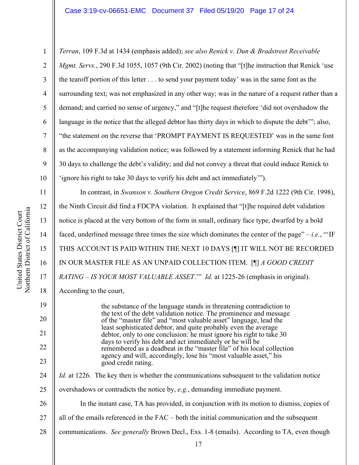## Case 3:19-cv-06651-EMC Document 37 Filed 05/19/20 Page 17 of 24

*Terran*, 109 F.3d at 1434 (emphasis added); *see also Renick v. Dun & Bradstreet Receivable Mgmt. Servs.*, 290 F.3d 1055, 1057 (9th Cir. 2002) (noting that "[t]he instruction that Renick 'use the tearoff portion of this letter . . . to send your payment today' was in the same font as the surrounding text; was not emphasized in any other way; was in the nature of a request rather than a demand; and carried no sense of urgency," and "[t]he request therefore 'did not overshadow the language in the notice that the alleged debtor has thirty days in which to dispute the debt'"; also, "the statement on the reverse that 'PROMPT PAYMENT IS REQUESTED' was in the same font as the accompanying validation notice; was followed by a statement informing Renick that he had 30 days to challenge the debt's validity; and did not convey a threat that could induce Renick to 'ignore his right to take 30 days to verify his debt and act immediately'").

In contrast, in *Swanson v. Southern Oregon Credit Service*, 869 F.2d 1222 (9th Cir. 1998), the Ninth Circuit did find a FDCPA violation. It explained that "[t]he required debt validation notice is placed at the very bottom of the form in small, ordinary face type, dwarfed by a bold faced, underlined message three times the size which dominates the center of the page" $-i.e.,$  "IF THIS ACCOUNT IS PAID WITHIN THE NEXT 10 DAYS [¶] IT WILL NOT BE RECORDED IN OUR MASTER FILE AS AN UNPAID COLLECTION ITEM. [¶] *A GOOD CREDIT RATING – IS YOUR MOST VALUABLE ASSET*.'" *Id.* at 1225-26 (emphasis in original). According to the court,

> the substance of the language stands in threatening contradiction to the text of the debt validation notice. The prominence and message of the "master file" and "most valuable asset" language, lead the least sophisticated debtor, and quite probably even the average debtor, only to one conclusion: he must ignore his right to take 30 days to verify his debt and act immediately or he will be remembered as a deadbeat in the "master file" of his local collection agency and will, accordingly, lose his "most valuable asset," his good credit rating.

*Id.* at 1226. The key then is whether the communications subsequent to the validation notice

25 overshadows or contradicts the notice by, *e.g.*, demanding immediate payment.

26 In the instant case, TA has provided, in conjunction with its motion to dismiss, copies of

- 27 all of the emails referenced in the FAC – both the initial communication and the subsequent
- 28 communications. *See generally* Brown Decl., Exs. 1-8 (emails). According to TA, even though

1

2

3

4

5

6

7

8

9

10

11

12

13

14

15

16

17

18

19

20

21

22

23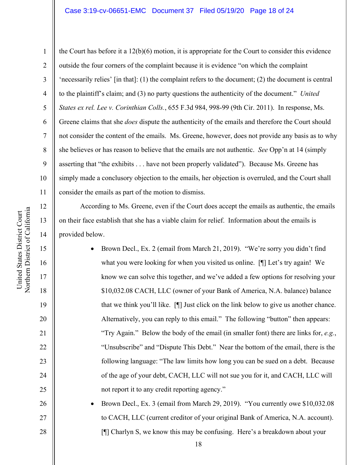the Court has before it a 12(b)(6) motion, it is appropriate for the Court to consider this evidence outside the four corners of the complaint because it is evidence "on which the complaint 'necessarily relies' [in that]: (1) the complaint refers to the document; (2) the document is central to the plaintiff's claim; and (3) no party questions the authenticity of the document." *United States ex rel. Lee v. Corinthian Colls.*, 655 F.3d 984, 998-99 (9th Cir. 2011). In response, Ms. Greene claims that she *does* dispute the authenticity of the emails and therefore the Court should not consider the content of the emails. Ms. Greene, however, does not provide any basis as to why she believes or has reason to believe that the emails are not authentic. *See* Opp'n at 14 (simply asserting that "the exhibits . . . have not been properly validated"). Because Ms. Greene has simply made a conclusory objection to the emails, her objection is overruled, and the Court shall consider the emails as part of the motion to dismiss.

According to Ms. Greene, even if the Court does accept the emails as authentic, the emails on their face establish that she has a viable claim for relief. Information about the emails is provided below.

> Brown Decl., Ex. 2 (email from March 21, 2019). "We're sorry you didn't find what you were looking for when you visited us online. [II] Let's try again! We know we can solve this together, and we've added a few options for resolving your \$10,032.08 CACH, LLC (owner of your Bank of America, N.A. balance) balance that we think you'll like. [¶] Just click on the link below to give us another chance. Alternatively, you can reply to this email." The following "button" then appears: "Try Again." Below the body of the email (in smaller font) there are links for, *e.g.*, "Unsubscribe" and "Dispute This Debt." Near the bottom of the email, there is the following language: "The law limits how long you can be sued on a debt. Because of the age of your debt, CACH, LLC will not sue you for it, and CACH, LLC will not report it to any credit reporting agency."

 Brown Decl., Ex. 3 (email from March 29, 2019). "You currently owe \$10,032.08 to CACH, LLC (current creditor of your original Bank of America, N.A. account). [¶] Charlyn S, we know this may be confusing. Here's a breakdown about your

1

2

3

4

5

6

7

8

9

10

11

12

13

14

15

16

17

18

19

20

21

22

23

24

25

26

27

28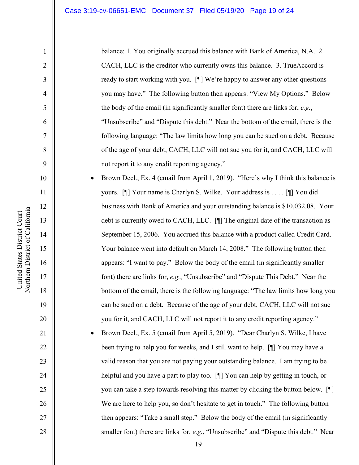balance: 1. You originally accrued this balance with Bank of America, N.A. 2. CACH, LLC is the creditor who currently owns this balance. 3. TrueAccord is ready to start working with you. [¶] We're happy to answer any other questions you may have." The following button then appears: "View My Options." Below the body of the email (in significantly smaller font) there are links for, *e.g.*, "Unsubscribe" and "Dispute this debt." Near the bottom of the email, there is the following language: "The law limits how long you can be sued on a debt. Because of the age of your debt, CACH, LLC will not sue you for it, and CACH, LLC will not report it to any credit reporting agency."

 Brown Decl., Ex. 4 (email from April 1, 2019). "Here's why I think this balance is yours. [¶] Your name is Charlyn S. Wilke. Your address is . . . . [¶] You did business with Bank of America and your outstanding balance is \$10,032.08. Your debt is currently owed to CACH, LLC. [¶] The original date of the transaction as September 15, 2006. You accrued this balance with a product called Credit Card. Your balance went into default on March 14, 2008." The following button then appears: "I want to pay." Below the body of the email (in significantly smaller font) there are links for, *e.g.*, "Unsubscribe" and "Dispute This Debt." Near the bottom of the email, there is the following language: "The law limits how long you can be sued on a debt. Because of the age of your debt, CACH, LLC will not sue you for it, and CACH, LLC will not report it to any credit reporting agency."

 Brown Decl., Ex. 5 (email from April 5, 2019). "Dear Charlyn S. Wilke, I have been trying to help you for weeks, and I still want to help. [¶] You may have a valid reason that you are not paying your outstanding balance. I am trying to be helpful and you have a part to play too. [¶] You can help by getting in touch, or you can take a step towards resolving this matter by clicking the button below. [¶] We are here to help you, so don't hesitate to get in touch." The following button then appears: "Take a small step." Below the body of the email (in significantly smaller font) there are links for, *e.g.*, "Unsubscribe" and "Dispute this debt." Near

1

2

3

4

5

6

7

8

9

10

11

12

13

14

15

16

17

18

19

20

21

22

23

24

25

26

27

28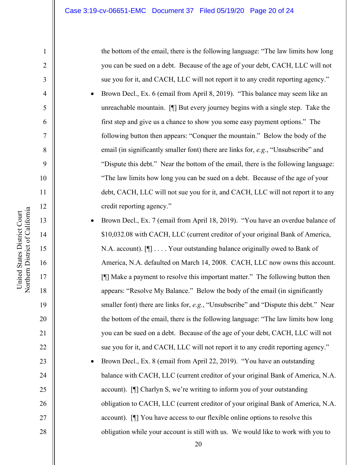the bottom of the email, there is the following language: "The law limits how long you can be sued on a debt. Because of the age of your debt, CACH, LLC will not sue you for it, and CACH, LLC will not report it to any credit reporting agency."

- Brown Decl., Ex. 6 (email from April 8, 2019). "This balance may seem like an unreachable mountain. [¶] But every journey begins with a single step. Take the first step and give us a chance to show you some easy payment options." The following button then appears: "Conquer the mountain." Below the body of the email (in significantly smaller font) there are links for, *e.g.*, "Unsubscribe" and "Dispute this debt." Near the bottom of the email, there is the following language: "The law limits how long you can be sued on a debt. Because of the age of your debt, CACH, LLC will not sue you for it, and CACH, LLC will not report it to any credit reporting agency."
	- Brown Decl., Ex. 7 (email from April 18, 2019). "You have an overdue balance of \$10,032.08 with CACH, LLC (current creditor of your original Bank of America, N.A. account). [¶] . . . . Your outstanding balance originally owed to Bank of America, N.A. defaulted on March 14, 2008. CACH, LLC now owns this account. [¶] Make a payment to resolve this important matter." The following button then appears: "Resolve My Balance." Below the body of the email (in significantly smaller font) there are links for, *e.g.*, "Unsubscribe" and "Dispute this debt." Near the bottom of the email, there is the following language: "The law limits how long you can be sued on a debt. Because of the age of your debt, CACH, LLC will not sue you for it, and CACH, LLC will not report it to any credit reporting agency."
- Brown Decl., Ex. 8 (email from April 22, 2019). "You have an outstanding balance with CACH, LLC (current creditor of your original Bank of America, N.A. account). [¶] Charlyn S, we're writing to inform you of your outstanding obligation to CACH, LLC (current creditor of your original Bank of America, N.A. account). [¶] You have access to our flexible online options to resolve this obligation while your account is still with us. We would like to work with you to

1

2

3

4

5

6

7

8

9

10

11

12

13

14

15

16

17

18

19

20

21

22

23

24

25

26

27

28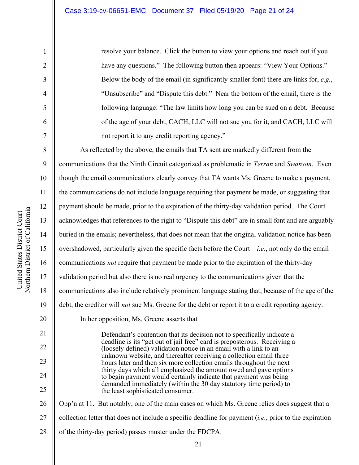resolve your balance. Click the button to view your options and reach out if you have any questions." The following button then appears: "View Your Options." Below the body of the email (in significantly smaller font) there are links for, *e.g.*, "Unsubscribe" and "Dispute this debt." Near the bottom of the email, there is the following language: "The law limits how long you can be sued on a debt. Because of the age of your debt, CACH, LLC will not sue you for it, and CACH, LLC will not report it to any credit reporting agency."

As reflected by the above, the emails that TA sent are markedly different from the communications that the Ninth Circuit categorized as problematic in *Terran* and *Swanson*. Even though the email communications clearly convey that TA wants Ms. Greene to make a payment, the communications do not include language requiring that payment be made, or suggesting that payment should be made, prior to the expiration of the thirty-day validation period. The Court acknowledges that references to the right to "Dispute this debt" are in small font and are arguably buried in the emails; nevertheless, that does not mean that the original validation notice has been overshadowed, particularly given the specific facts before the Court – *i.e.*, not only do the email communications *not* require that payment be made prior to the expiration of the thirty-day validation period but also there is no real urgency to the communications given that the communications also include relatively prominent language stating that, because of the age of the debt, the creditor will *not* sue Ms. Greene for the debt or report it to a credit reporting agency. In her opposition, Ms. Greene asserts that Defendant's contention that its decision not to specifically indicate a deadline is its "get out of jail free" card is preposterous. Receiving a (loosely defined) validation notice in an email with a link to an unknown website, and thereafter receiving a collection email three hours later and then six more collection emails throughout the next thirty days which all emphasized the amount owed and gave options to begin payment would certainly indicate that payment was being demanded immediately (within the 30 day statutory time period) to the least sophisticated consumer.

26 27 28 Opp'n at 11. But notably, one of the main cases on which Ms. Greene relies does suggest that a collection letter that does not include a specific deadline for payment (*i.e.*, prior to the expiration of the thirty-day period) passes muster under the FDCPA.

1

2

3

4

5

6

7

8

9

10

11

12

13

14

15

16

17

18

19

20

21

22

23

24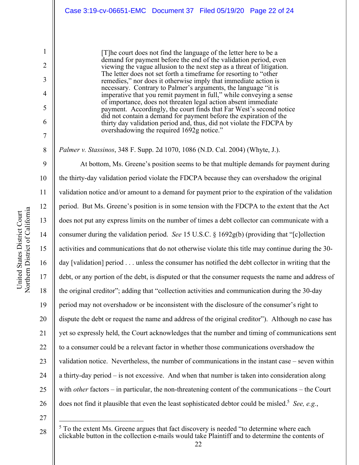[T]he court does not find the language of the letter here to be a demand for payment before the end of the validation period, even viewing the vague allusion to the next step as a threat of litigation. The letter does not set forth a timeframe for resorting to "other remedies," nor does it otherwise imply that immediate action is necessary. Contrary to Palmer's arguments, the language "it is imperative that you remit payment in full," while conveying a sense of importance, does not threaten legal action absent immediate payment. Accordingly, the court finds that Far West's second notice did not contain a demand for payment before the expiration of the thirty day validation period and, thus, did not violate the FDCPA by overshadowing the required 1692g notice."

*Palmer v. Stassinos*, 348 F. Supp. 2d 1070, 1086 (N.D. Cal. 2004) (Whyte, J.).

9 10 11 12 13 14 15 16 17 18 19 20 21 22 23 24 25 26 At bottom, Ms. Greene's position seems to be that multiple demands for payment during the thirty-day validation period violate the FDCPA because they can overshadow the original validation notice and/or amount to a demand for payment prior to the expiration of the validation period. But Ms. Greene's position is in some tension with the FDCPA to the extent that the Act does not put any express limits on the number of times a debt collector can communicate with a consumer during the validation period. *See* 15 U.S.C. § 1692g(b) (providing that "[c]ollection activities and communications that do not otherwise violate this title may continue during the 30 day [validation] period . . . unless the consumer has notified the debt collector in writing that the debt, or any portion of the debt, is disputed or that the consumer requests the name and address of the original creditor"; adding that "collection activities and communication during the 30-day period may not overshadow or be inconsistent with the disclosure of the consumer's right to dispute the debt or request the name and address of the original creditor"). Although no case has yet so expressly held, the Court acknowledges that the number and timing of communications sent to a consumer could be a relevant factor in whether those communications overshadow the validation notice. Nevertheless, the number of communications in the instant case – seven within a thirty-day period – is not excessive. And when that number is taken into consideration along with *other* factors – in particular, the non-threatening content of the communications – the Court does not find it plausible that even the least sophisticated debtor could be misled.<sup>5</sup> See, e.g.,

27

a

1

2

3

4

5

6

7

<sup>28</sup>  <sup>5</sup> To the extent Ms. Greene argues that fact discovery is needed "to determine where each clickable button in the collection e-mails would take Plaintiff and to determine the contents of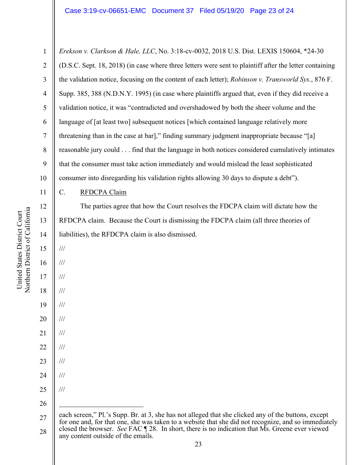#### Case 3:19-cv-06651-EMC Document 37 Filed 05/19/20 Page 23 of 24

11

12

13

14

15

///

///

///

///

///

///

///

///

///

///

///

16

17

18

19

20

21

22

23

24

25

26

1 2 3 4 5 6 7 8 9 10 *Erekson v. Clarkson & Hale, LLC*, No. 3:18-cv-0032, 2018 U.S. Dist. LEXIS 150604, \*24-30 (D.S.C. Sept. 18, 2018) (in case where three letters were sent to plaintiff after the letter containing the validation notice, focusing on the content of each letter); *Robinson v. Transworld Sys.*, 876 F. Supp. 385, 388 (N.D.N.Y. 1995) (in case where plaintiffs argued that, even if they did receive a validation notice, it was "contradicted and overshadowed by both the sheer volume and the language of [at least two] subsequent notices [which contained language relatively more threatening than in the case at bar]," finding summary judgment inappropriate because "[a] reasonable jury could . . . find that the language in both notices considered cumulatively intimates that the consumer must take action immediately and would mislead the least sophisticated consumer into disregarding his validation rights allowing 30 days to dispute a debt").

C. RFDCPA Claim

The parties agree that how the Court resolves the FDCPA claim will dictate how the RFDCPA claim. Because the Court is dismissing the FDCPA claim (all three theories of liabilities), the RFDCPA claim is also dismissed.

27 28 each screen," Pl.'s Supp. Br. at 3, she has not alleged that she clicked any of the buttons, except for one and, for that one, she was taken to a website that she did not recognize, and so immediately closed the browser. *See* FAC ¶ 28. In short, there is no indication that Ms. Greene ever viewed any content outside of the emails.